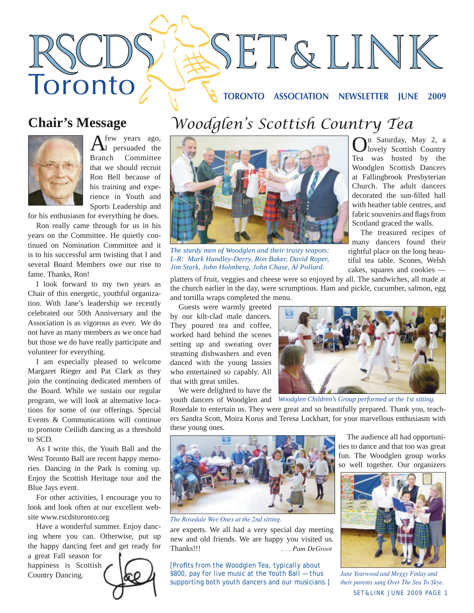# **TORONTO ASSOCIATION NEWSLETTER JUNE 2009**

SET&LINK

# **Chair's Message**

Toronto



 $A<sup>few</sup>$  years ago, persuaded the Branch Committee that we should recruit Ron Bell because of his training and experience in Youth and Sports Leadership and

for his enthusiasm for everything he does.

Ron really came through for us in his years on the Committee. He quietly continued on Nomination Committee and it is to his successful arm twisting that I and several Board Members owe our rise to fame. Thanks, Ron!

I look forward to my two years as Chair of this energetic, youthful organization. With Jane's leadership we recently celebrated our 50th Anniversary and the Association is as vigorous as ever. We do not have as many members as we once had but those we do have really participate and volunteer for everything.

I am especially pleased to welcome Margaret Rieger and Pat Clark as they join the continuing dedicated members of the Board. While we sustain our regular program, we will look at alternative locations for some of our offerings. Special Events & Communications will continue to promote Ceilidh dancing as a threshold to SCD.

As I write this, the Youth Ball and the West Toronto Ball are recent happy memories. Dancing in the Park is coming up. Enjoy the Scottish Heritage tour and the Blue Jays event.

For other activities, I encourage you to look and look often at our excellent website www.rscdstoronto.org

Have a wonderful summer. Enjoy dancing where you can. Otherwise, put up the happy dancing feet and get ready for

a great Fall season for happiness is Scottish Country Dancing.





*The sturdy men of Woodglen and their trusty teapots: L-R: Mark Handley-Derry, Ron Baker, David Roper, Jim Stark, John Holmberg, John Chase, Al Pollard.*

tiful tea table. Scones, Welsh cakes, squares and cookies platters of fruit, veggies and cheese were so enjoyed by all. The sandwiches, all made at

the church earlier in the day, were scrumptious. Ham and pickle, cucumber, salmon, egg and tortilla wraps completed the menu.

Guests were warmly greeted by our kilt-clad male dancers. They poured tea and coffee, worked hard behind the scenes setting up and sweating over steaming dishwashers and even danced with the young lassies who entertained so capably. All that with great smiles.

We were delighted to have the



youth dancers of Woodglen and *Woodglen Children's Group performed at the 1st sitting.*

Rosedale to entertain us. They were great and so beautifully prepared. Thank you, teachers Sandra Scott, Moira Korus and Teresa Lockhart, for your marvellous enthusiasm with these young ones.



*The Rosedale Wee Ones at the 2nd sitting.*

are experts. We all had a very special day meeting new and old friends. We are happy you visited us. Thanks!!! *. . . Pam DeGroot*

*[Profi ts from the Woodglen Tea, typically about \$800, pay for live music at the Youth Ball — thus supporting both youth dancers and our musicians.]*

The audience all had opportunities to dance and that too was great fun. The Woodglen group works so well together. Our organizers

On Saturday, May 2, a lovely Scottish Country Tea was hosted by the Woodglen Scottish Dancers at Fallingbrook Presbyterian Church. The adult dancers decorated the sun-filled hall with heather table centres, and fabric souvenirs and flags from Scotland graced the walls. The treasured recipes of many dancers found their rightful place on the long beau-



SET&LINK JUNE 2009 PAGE 1 *Jane Yearwood and Meggy Finlay and their parents sang Over The Sea To Skye.*

# *Woodglen's Scottish Country Tea*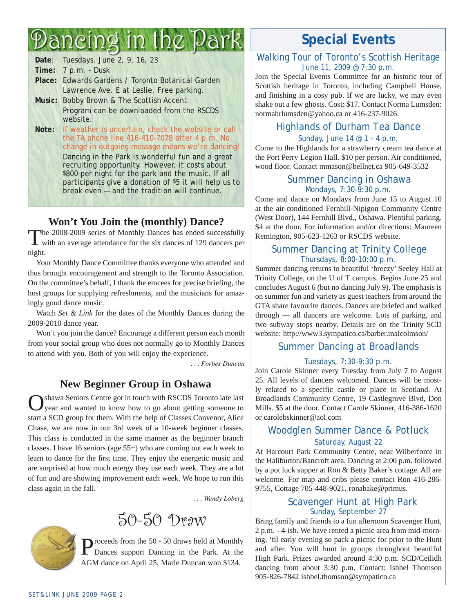# Dancing in the Park

| Date: Tuesdays, June 2, 9, 16, 23                                                                                                                                                                                                                                                                                                                                                                                                         |
|-------------------------------------------------------------------------------------------------------------------------------------------------------------------------------------------------------------------------------------------------------------------------------------------------------------------------------------------------------------------------------------------------------------------------------------------|
| Time: 7 p.m. - Dusk                                                                                                                                                                                                                                                                                                                                                                                                                       |
| Place: Edwards Gardens / Toronto Botanical Garden                                                                                                                                                                                                                                                                                                                                                                                         |
| Lawrence Ave. E at Leslie. Free parking.                                                                                                                                                                                                                                                                                                                                                                                                  |
| Music: Bobby Brown & The Scottish Accent                                                                                                                                                                                                                                                                                                                                                                                                  |
| Program can be downloaded from the RSCDS<br>website.                                                                                                                                                                                                                                                                                                                                                                                      |
| Note: If weather is uncertain, check the website or call<br>the TA phone line $416-410-7078$ after $4 p.m.$ No<br>change in outgoing message means we're dancing!<br>Dancing in the Park is wonderful fun and a great<br>recruiting opportunity. However, it costs about<br>\$800 per night for the park and the music. If all<br>participants give a donation of \$5 it will help us to<br>break even - and the tradition will continue. |
|                                                                                                                                                                                                                                                                                                                                                                                                                                           |

# **Won't You Join the (monthly) Dance?**

The 2008-2009 series of Monthly Dances has ended successfully with an average attendance for the six dances of 129 dancers per night.

Your Monthly Dance Committee thanks everyone who attended and thus brought encouragement and strength to the Toronto Association. On the committee's behalf, I thank the emcees for precise briefing, the host groups for supplying refreshments, and the musicians for amazingly good dance music.

Watch *Set & Link* for the dates of the Monthly Dances during the 2009-2010 dance year.

Won't you join the dance? Encourage a different person each month from your social group who does not normally go to Monthly Dances to attend with you. Both of you will enjoy the experience.

*. . . Forbes Duncan*

# **New Beginner Group in Oshawa**

Oshawa Seniors Centre got in touch with RSCDS Toronto late last year and wanted to know how to go about getting someone to start a SCD group for them. With the help of Classes Convenor, Alice Chase, we are now in our 3rd week of a 10-week beginner classes. This class is conducted in the same manner as the beginner branch classes. I have 16 seniors (age 55+) who are coming out each week to learn to dance for the first time. They enjoy the energetic music and are surprised at how much energy they use each week. They are a lot of fun and are showing improvement each week. We hope to run this class again in the fall.

 *. . . Wendy Loberg*



Proceeds from the 50 - 50 draws held at Monthly Dances support Dancing in the Park. At the AGM dance on April 25, Marie Duncan won \$134.

# **Special Events**

#### Walking Tour of Toronto's Scottish Heritage June 11, 2009 @ 7:30 p.m.

Join the Special Events Committee for an historic tour of Scottish heritage in Toronto, including Campbell House, and finishing in a cosy pub. If we are lucky, we may even shake out a few ghosts. Cost: \$17. Contact Norma Lumsden: normahrlumsden@yahoo.ca or 416-237-9026.

# Highlands of Durham Tea Dance

#### Sunday, June 14 @ 1 - 4 p.m.

Come to the Highlands for a strawberry cream tea dance at the Port Perry Legion Hall. \$10 per person. Air conditioned, wood floor. Contact mmason@bellnet.ca 905-649-3532

#### Summer Dancing in Oshawa Mondays, 7:30-9:30 p.m.

Come and dance on Mondays from June 15 to August 10 at the air-conditioned Fernhill-Nipigon Community Centre (West Door), 144 Fernhill Blvd., Oshawa. Plentiful parking. \$4 at the door. For information and/or directions: Maureen Remington, 905-623-1263 or RSCDS website.

### Summer Dancing at Trinity College Thursdays, 8:00-10:00 p.m.

Summer dancing returns to beautiful 'breezy' Seeley Hall at Trinity College, on the U of T campus. Begins June 25 and concludes August 6 (but no dancing July 9). The emphasis is on summer fun and variety as guest teachers from around the GTA share favourite dances. Dances are briefed and walked through — all dancers are welcome. Lots of parking, and two subway stops nearby. Details are on the Trinity SCD website: http://www3.sympatico.ca/barber.malcolmson/

### Summer Dancing at Broadlands

#### Tuesdays, 7:30-9:30 p.m.

Join Carole Skinner every Tuesday from July 7 to August 25. All levels of dancers welcomed. Dances will be mostly related to a specific castle or place in Scotland. At Broadlands Community Centre, 19 Castlegrove Blvd, Don Mills. \$5 at the door. Contact Carole Skinner, 416-386-1620 or carolebskinner@aol.com

## Woodglen Summer Dance & Potluck Saturday, August 22

At Harcourt Park Community Centre, near Wilberforce in the Haliburton/Bancroft area. Dancing at 2:00 p.m. followed by a pot luck supper at Ron & Betty Baker's cottage. All are welcome. For map and cribs please contact Ron 416-286- 9755, Cottage 705-448-9021, ronabake@primus.

### Scavenger Hunt at High Park Sunday, September 27

Bring family and friends to a fun afternoon Scavenger Hunt, 2 p.m. - 4-ish. We have rented a picnic area from mid-morning, 'til early evening so pack a picnic for prior to the Hunt and after. You will hunt in groups throughout beautiful High Park. Prizes awarded around 4:30 p.m. SCD/Ceilidh dancing from about 3:30 p.m. Contact: Ishbel Thomson 905-826-7842 ishbel.thomson@sympatico.ca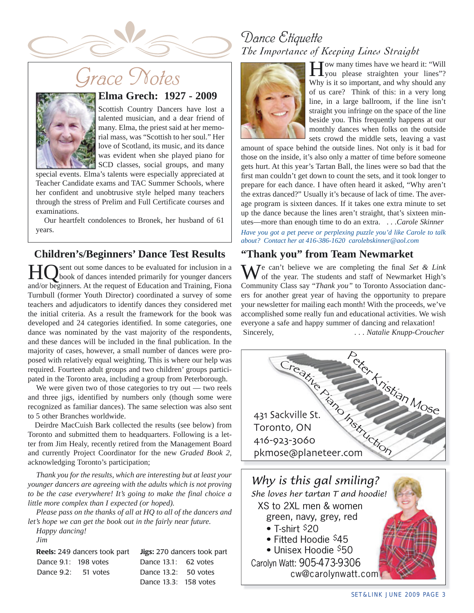

# *Grace Notes*



# **Elma Grech: 1927 - 2009**

Scottish Country Dancers have lost a talented musician, and a dear friend of many. Elma, the priest said at her memorial mass, was "Scottish to her soul." Her love of Scotland, its music, and its dance was evident when she played piano for SCD classes, social groups, and many

special events. Elma's talents were especially appreciated at Teacher Candidate exams and TAC Summer Schools, where her confident and unobtrusive style helped many teachers through the stress of Prelim and Full Certificate courses and examinations.

Our heartfelt condolences to Bronek, her husband of 61 years.

# **Children's/Beginners' Dance Test Results**

sent out some dances to be evaluated for inclusion in a book of dances intended primarily for younger dancers and/or beginners. At the request of Education and Training, Fiona Turnbull (former Youth Director) coordinated a survey of some teachers and adjudicators to identify dances they considered met the initial criteria. As a result the framework for the book was developed and 24 categories identified. In some categories, one dance was nominated by the vast majority of the respondents, and these dances will be included in the final publication. In the majority of cases, however, a small number of dances were proposed with relatively equal weighting. This is where our help was required. Fourteen adult groups and two children' groups participated in the Toronto area, including a group from Peterborough.

We were given two of those categories to try out — two reels and three jigs, identified by numbers only (though some were recognized as familiar dances). The same selection was also sent to 5 other Branches worldwide.

Deirdre MacCuish Bark collected the results (see below) from Toronto and submitted them to headquarters. Following is a letter from Jim Healy, recently retired from the Management Board and currently Project Coordinator for the new *Graded Book 2*, acknowledging Toronto's participation;

*Thank you for the results, which are interesting but at least your younger dancers are agreeing with the adults which is not proving to be the case everywhere! It's going to make the final choice a little more complex than I expected (or hoped).*

*Please pass on the thanks of all at HQ to all of the dancers and let's hope we can get the book out in the fairly near future.*

*Happy dancing!* 

*Jim*

|                       | <b>Reels:</b> 249 dancers took part | Ji |
|-----------------------|-------------------------------------|----|
| Dance 9.1: 198 votes  |                                     | D  |
| Dance $9.2: 51$ votes |                                     | D  |

**Reels:** 249 dancers took part **Jigs:** 270 dancers took part Dance  $13.1: 62$  votes  $2$ ance 13.2: 50 votes Dance 13.3: 158 votes

# *Dance Etiquette The Importance of Keeping Lines Straight*



**T** Tow many times have we heard it: "Will you please straighten your lines"? Why is it so important, and why should any of us care? Think of this: in a very long line, in a large ballroom, if the line isn't straight you infringe on the space of the line beside you. This frequently happens at our monthly dances when folks on the outside sets crowd the middle sets, leaving a vast

amount of space behind the outside lines. Not only is it bad for those on the inside, it's also only a matter of time before someone gets hurt. At this year's Tartan Ball, the lines were so bad that the first man couldn't get down to count the sets, and it took longer to prepare for each dance. I have often heard it asked, "Why aren't the extras danced?" Usually it's because of lack of time. The average program is sixteen dances. If it takes one extra minute to set up the dance because the lines aren't straight, that's sixteen minutes—more than enough time to do an extra. . *. .Carole Skinner Have you got a pet peeve or perplexing puzzle you'd like Carole to talk about? Contact her at 416-386-1620 carolebskinner@aol.com* 

# **"Thank you" from Team Newmarket**

**N** $\overline{V}$ e can't believe we are completing the final *Set & Link* of the year. The students and staff of Newmarket High's Community Class say "*Thank you"* to Toronto Association dancers for another great year of having the opportunity to prepare your newsletter for mailing each month! With the proceeds, we've accomplished some really fun and educational activities. We wish everyone a safe and happy summer of dancing and relaxation! Sincerely, *... Natalie Knupp-Croucher* 



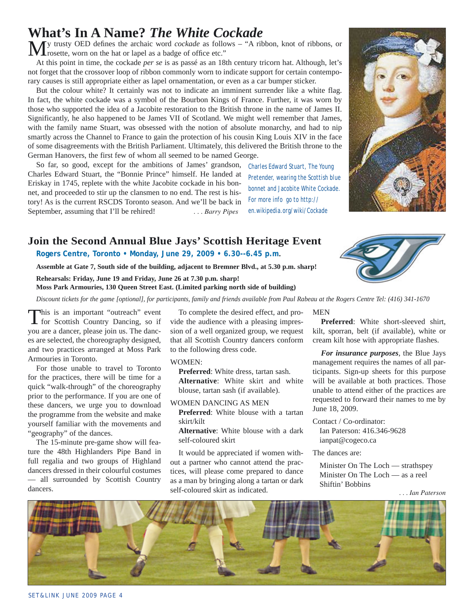#### SET&LINK JUNE 2009 PAGE 4

# **What's In A Name?** *The White Cockade*

My trusty OED defines the archaic word *cockade* as follows – "A ribbon, knot of ribbons, or rosette, worn on the hat or lapel as a badge of office etc."

At this point in time, the cockade *per se* is as passé as an 18th century tricorn hat. Although, let's not forget that the crossover loop of ribbon commonly worn to indicate support for certain contemporary causes is still appropriate either as lapel ornamentation, or even as a car bumper sticker.

But the colour white? It certainly was not to indicate an imminent surrender like a white flag. In fact, the white cockade was a symbol of the Bourbon Kings of France. Further, it was worn by those who supported the idea of a Jacobite restoration to the British throne in the name of James II. Significantly, he also happened to be James VII of Scotland. We might well remember that James, with the family name Stuart, was obsessed with the notion of absolute monarchy, and had to nip smartly across the Channel to France to gain the protection of his cousin King Louis XIV in the face of some disagreements with the British Parliament. Ultimately, this delivered the British throne to the German Hanovers, the first few of whom all seemed to be named George.

So far, so good, except for the ambitions of James' grandson, Charles Edward Stuart, the "Bonnie Prince" himself. He landed at Eriskay in 1745, replete with the white Jacobite cockade in his bonnet, and proceeded to stir up the clansmen to no end. The rest is history! As is the current RSCDS Toronto season. And we'll be back in September, assuming that I'll be rehired! *... Barry Pipes* 

*Charles Edward Stuart, The Young Pretender, wearing the Scottish blue bonnet and Jacobite White Cockade. For more info go to http:// en.wikipedia.org/wiki/Cockade*

# **Join the Second Annual Blue Jays' Scottish Heritage Event**

**Rogers Centre, Toronto • Monday, June 29, 2009 • 6.30--6.45 p.m.**

**Assemble at Gate 7, South side of the building, adjacent to Bremner Blvd., at 5.30 p.m. sharp!**

**Rehearsals: Friday, June 19 and Friday, June 26 at 7.30 p.m. sharp!**

**Moss Park Armouries, 130 Queen Street East. (Limited parking north side of building)**

*Discount tickets for the game [optional], for participants, family and friends available from Paul Rabeau at the Rogers Centre Tel: (416) 341-1670*

This is an important "outreach" event for Scottish Country Dancing, so if you are a dancer, please join us. The dances are selected, the choreography designed, and two practices arranged at Moss Park Armouries in Toronto.

For those unable to travel to Toronto for the practices, there will be time for a quick "walk-through" of the choreography prior to the performance. If you are one of these dancers, we urge you to download the programme from the website and make yourself familiar with the movements and "geography" of the dances.

The 15-minute pre-game show will feature the 48th Highlanders Pipe Band in full regalia and two groups of Highland dancers dressed in their colourful costumes — all surrounded by Scottish Country dancers.

To complete the desired effect, and provide the audience with a pleasing impression of a well organized group, we request that all Scottish Country dancers conform to the following dress code.

WOMEN:

**Preferred**: White dress, tartan sash. **Alternative**: White skirt and white blouse, tartan sash (if available).

WOMEN DANCING AS MEN **Preferred**: White blouse with a tartan skirt/kilt

**Alternative**: White blouse with a dark self-coloured skirt

It would be appreciated if women without a partner who cannot attend the practices, will please come prepared to dance as a man by bringing along a tartan or dark self-coloured skirt as indicated.

#### MEN

**Preferred**: White short-sleeved shirt, kilt, sporran, belt (if available), white or cream kilt hose with appropriate flashes.

*For insurance purposes*, the Blue Jays management requires the names of all participants. Sign-up sheets for this purpose will be available at both practices. Those unable to attend either of the practices are requested to forward their names to me by June 18, 2009.

Contact / Co-ordinator: Ian Paterson: 416.346-9628 ianpat@cogeco.ca

The dances are:

Minister On The Loch — strathspey Minister On The Loch — as a reel Shiftin' Bobbins





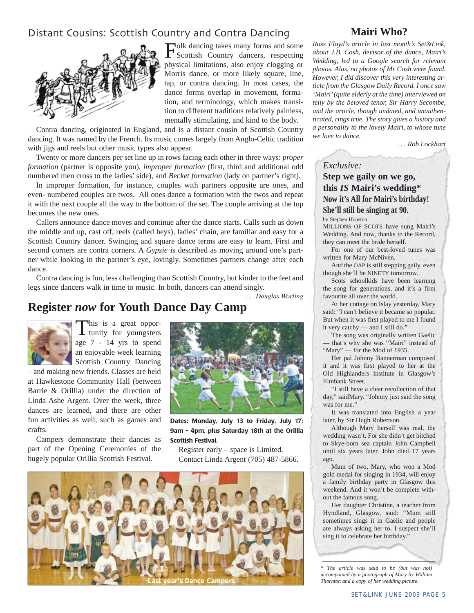# Distant Cousins: Scottish Country and Contra Dancing



Folk dancing takes many forms and some Scottish Country dancers, respecting physical limitations, also enjoy clogging or Morris dance, or more likely square, line, tap, or contra dancing. In most cases, the dance forms overlap in movement, formation, and terminology, which makes transition to different traditions relatively painless, mentally stimulating, and kind to the body.

Contra dancing, originated in England, and is a distant cousin of Scottish Country dancing. It was named by the French. Its music comes largely from Anglo-Celtic tradition with jigs and reels but other music types also appear.

Twenty or more dancers per set line up in rows facing each other in three ways: *proper formation* (partner is opposite you), *improper formation* (first, third and additional odd numbered men cross to the ladies' side), and *Becket formation* (lady on partner's right).

In improper formation, for instance, couples with partners opposite are ones, and even- numbered couples are twos. All ones dance a formation with the twos and repeat it with the next couple all the way to the bottom of the set. The couple arriving at the top becomes the new ones.

Callers announce dance moves and continue after the dance starts. Calls such as down the middle and up, cast off, reels (called heys), ladies' chain, are familiar and easy for a Scottish Country dancer. Swinging and square dance terms are easy to learn. First and second corners are contra corners. A *Gypsie* is described as moving around one's partner while looking in the partner's eye, lovingly. Sometimes partners change after each dance.

Contra dancing is fun, less challenging than Scottish Country, but kinder to the feet and legs since dancers walk in time to music. In both, dancers can attend singly.

*. . . Douglas Worling*

# **Register** *now* **for Youth Dance Day Camp**



This is a great oppor-<br>tunity for youngsters age 7 - 14 yrs to spend an enjoyable week learning Scottish Country Dancing

 – and making new friends. Classes are held at Hawkestone Community Hall (between Barrie & Orillia) under the direction of Linda Ashe Argent. Over the week, three dances are learned, and there are other fun activities as well, such as games and crafts.

Campers demonstrate their dances as part of the Opening Ceremonies of the hugely popular Orillia Scottish Festival.



**Dates: Monday, July 13 to Friday, July 17; 9am - 4pm, plus Saturday 18th at the Orillia Scottish Festival.**

Register early – space is Limited. Contact Linda Argent (705) 487-5866.



## **Mairi Who?**

*Ross Floyd's article in last month's Set&Link, about J.B. Cosh, devisor of the dance, Mairi's Wedding, led to a Google search for relevant photos. Alas, no photos of Mr Cosh were found. However, I did discover this very interesting article from the Glasgow Daily Record. I once saw 'Mairi' (quite elderly at the time) interviewed on telly by the beloved tenor, Sir Harry Secombe, and the article, though undated, and unauthenticated, rings true. The story gives a history and a personality to the lovely Mairi, to whose tune we love to dance.* 

 *. . . Rob Lockhart*

#### *Exclusive:*

### **Step we gaily on we go, this** *IS* **Mairi's wedding\* Now it's All for Mairi's birthday! She'll still be singing at 90.**

by Stephen Houston

MILLIONS OF SCOTS have sung Mairi's Wedding. And now, thanks to the Record, they can meet the bride herself.

For one of our best-loved tunes was written for Mary McNiven.

And the OAP is still stepping gaily, even though she'll be NINETY tomorrow.

Scots schoolkids have been learning the song for generations, and it's a firm favourite all over the world.

At her cottage on Islay yesterday, Mary said: "I can't believe it became so popular. But when it was first played to me I found it very catchy — and I still do."

The song was originally written Gaelic that's why she was "Mairi" instead of "Mary" — for the Mod of 1935.

Her pal Johnny Bannerman composed it and it was first played to her at the Old Highlanders Institute in Glasgow's Elmbank Street.

"I still have a clear recollection of that day," saidMary. "Johnny just said the song was for me."

It was translated into English a year later, by Sir Hugh Robertson.

Although Mary herself was real, the wedding wasn't. For she didn't get hitched to Skye-born sea captain John Campbell until six years later. John died 17 years ago.

Mum of two, Mary, who won a Mod gold medal for singing in 1934, will enjoy a family birthday party in Glasgow this weekend. And it won't be complete without the famous song.

Her daughter Christine, a teacher from Hyndland, Glasgow, said: "Mum still sometimes sings it in Gaelic and people are always asking her to. I suspect she'll sing it to celebrate her birthday."

*\* The article was said to be (but was not) accompanied by a photograph of Mary by William*  **Last year's Dance Campers** *Thornton and a copy of her wedding picture*.